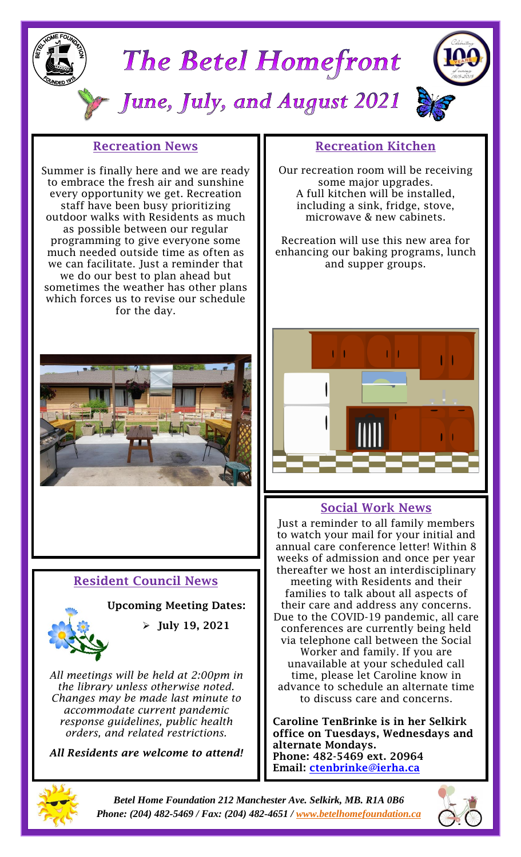



*Betel Home Foundation 212 Manchester Ave. Selkirk, MB. R1A 0B6 Phone: (204) 482-5469 / Fax: (204) 482-4651 / [www.betelhomefoundation.ca](http://www.betelhomefoundation.ca/)*